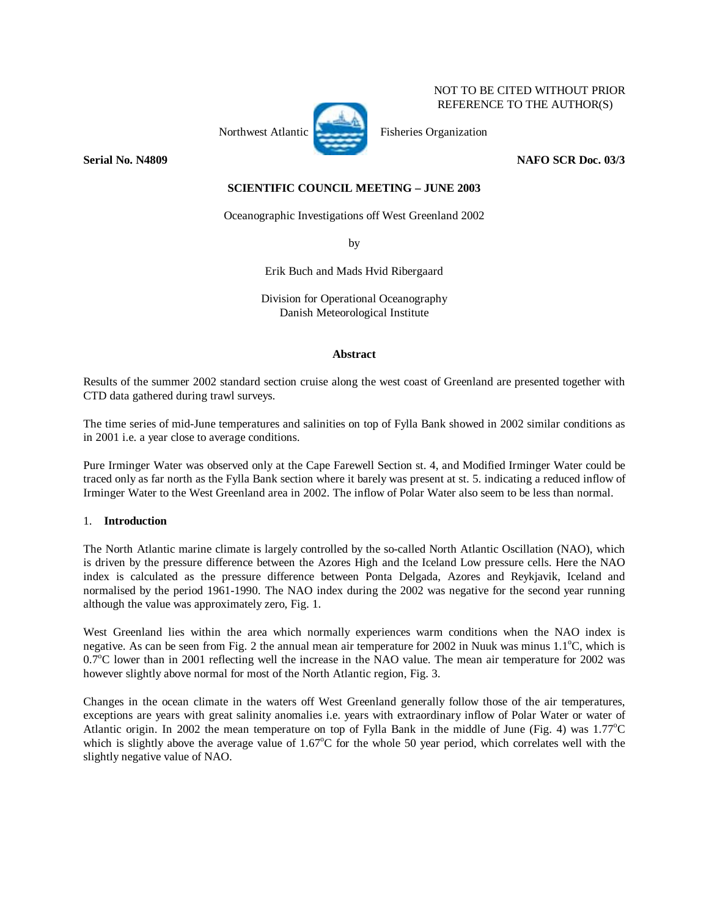## NOT TO BE CITED WITHOUT PRIOR REFERENCE TO THE AUTHOR(S)

Northwest Atlantic Fisheries Organization

**Serial No. N4809 NAFO SCR Doc. 03/3** 

# **SCIENTIFIC COUNCIL MEETING – JUNE 2003**

Oceanographic Investigations off West Greenland 2002

by

Erik Buch and Mads Hvid Ribergaard

Division for Operational Oceanography Danish Meteorological Institute

## **Abstract**

Results of the summer 2002 standard section cruise along the west coast of Greenland are presented together with CTD data gathered during trawl surveys.

The time series of mid-June temperatures and salinities on top of Fylla Bank showed in 2002 similar conditions as in 2001 i.e. a year close to average conditions.

Pure Irminger Water was observed only at the Cape Farewell Section st. 4, and Modified Irminger Water could be traced only as far north as the Fylla Bank section where it barely was present at st. 5. indicating a reduced inflow of Irminger Water to the West Greenland area in 2002. The inflow of Polar Water also seem to be less than normal.

## 1. **Introduction**

The North Atlantic marine climate is largely controlled by the so-called North Atlantic Oscillation (NAO), which is driven by the pressure difference between the Azores High and the Iceland Low pressure cells. Here the NAO index is calculated as the pressure difference between Ponta Delgada, Azores and Reykjavik, Iceland and normalised by the period 1961-1990. The NAO index during the 2002 was negative for the second year running although the value was approximately zero, Fig. 1.

West Greenland lies within the area which normally experiences warm conditions when the NAO index is negative. As can be seen from Fig. 2 the annual mean air temperature for 2002 in Nuuk was minus 1.1°C, which is 0.7<sup>o</sup>C lower than in 2001 reflecting well the increase in the NAO value. The mean air temperature for 2002 was however slightly above normal for most of the North Atlantic region, Fig. 3.

Changes in the ocean climate in the waters off West Greenland generally follow those of the air temperatures, exceptions are years with great salinity anomalies i.e. years with extraordinary inflow of Polar Water or water of Atlantic origin. In 2002 the mean temperature on top of Fylla Bank in the middle of June (Fig. 4) was 1.77°C which is slightly above the average value of  $1.67^{\circ}$ C for the whole 50 year period, which correlates well with the slightly negative value of NAO.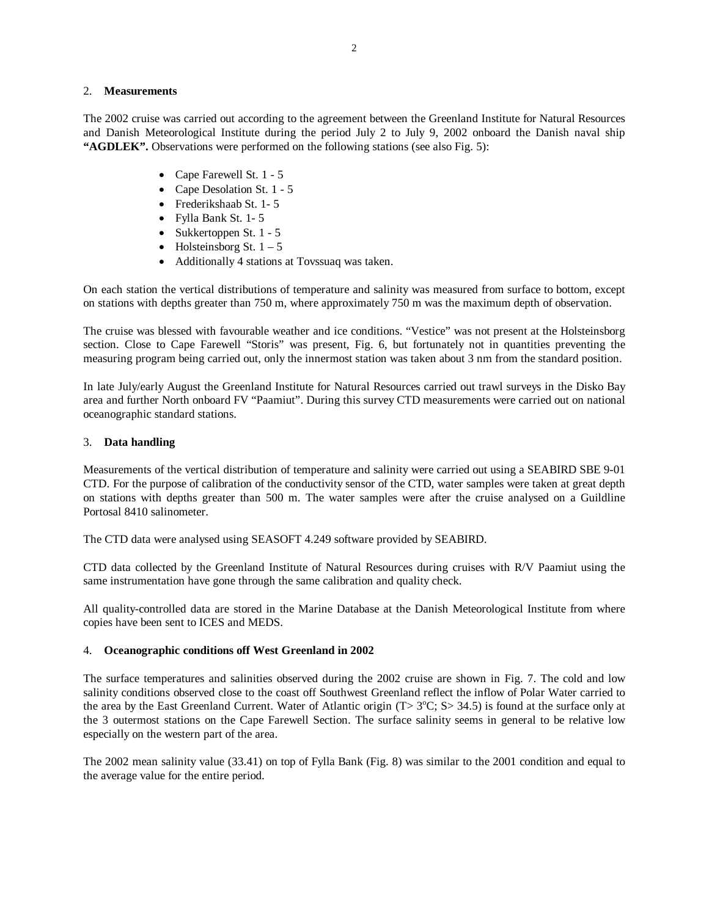#### 2. **Measurements**

The 2002 cruise was carried out according to the agreement between the Greenland Institute for Natural Resources and Danish Meteorological Institute during the period July 2 to July 9, 2002 onboard the Danish naval ship **"AGDLEK".** Observations were performed on the following stations (see also Fig. 5):

- Cape Farewell St. 1 5
- Cape Desolation St. 1 5
- Frederikshaab St. 1- 5
- Fylla Bank St. 1- 5
- Sukkertoppen St. 1 5
- Holsteinsborg St.  $1 5$
- Additionally 4 stations at Tovssuaq was taken.

On each station the vertical distributions of temperature and salinity was measured from surface to bottom, except on stations with depths greater than 750 m, where approximately 750 m was the maximum depth of observation.

The cruise was blessed with favourable weather and ice conditions. "Vestice" was not present at the Holsteinsborg section. Close to Cape Farewell "Storis" was present, Fig. 6, but fortunately not in quantities preventing the measuring program being carried out, only the innermost station was taken about 3 nm from the standard position.

In late July/early August the Greenland Institute for Natural Resources carried out trawl surveys in the Disko Bay area and further North onboard FV "Paamiut". During this survey CTD measurements were carried out on national oceanographic standard stations.

## 3. **Data handling**

Measurements of the vertical distribution of temperature and salinity were carried out using a SEABIRD SBE 9-01 CTD. For the purpose of calibration of the conductivity sensor of the CTD, water samples were taken at great depth on stations with depths greater than 500 m. The water samples were after the cruise analysed on a Guildline Portosal 8410 salinometer.

The CTD data were analysed using SEASOFT 4.249 software provided by SEABIRD.

CTD data collected by the Greenland Institute of Natural Resources during cruises with R/V Paamiut using the same instrumentation have gone through the same calibration and quality check.

All quality-controlled data are stored in the Marine Database at the Danish Meteorological Institute from where copies have been sent to ICES and MEDS.

#### 4. **Oceanographic conditions off West Greenland in 2002**

The surface temperatures and salinities observed during the 2002 cruise are shown in Fig. 7. The cold and low salinity conditions observed close to the coast off Southwest Greenland reflect the inflow of Polar Water carried to the area by the East Greenland Current. Water of Atlantic origin  $(T > 3^{\circ}C; S > 34.5)$  is found at the surface only at the 3 outermost stations on the Cape Farewell Section. The surface salinity seems in general to be relative low especially on the western part of the area.

The 2002 mean salinity value (33.41) on top of Fylla Bank (Fig. 8) was similar to the 2001 condition and equal to the average value for the entire period.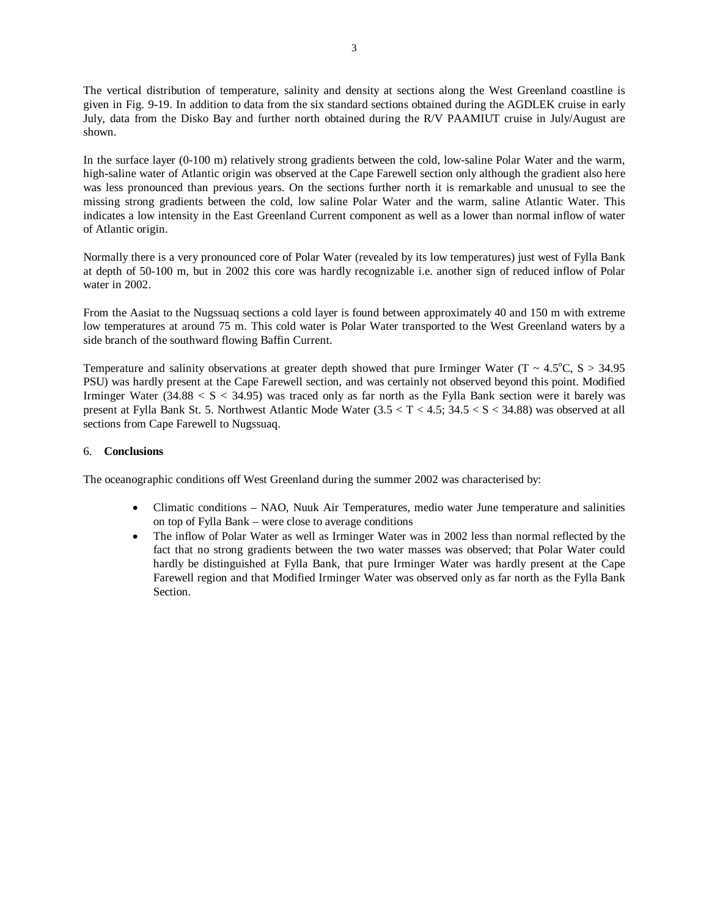The vertical distribution of temperature, salinity and density at sections along the West Greenland coastline is given in Fig. 9-19. In addition to data from the six standard sections obtained during the AGDLEK cruise in early July, data from the Disko Bay and further north obtained during the R/V PAAMIUT cruise in July/August are shown.

In the surface layer (0-100 m) relatively strong gradients between the cold, low-saline Polar Water and the warm, high-saline water of Atlantic origin was observed at the Cape Farewell section only although the gradient also here was less pronounced than previous years. On the sections further north it is remarkable and unusual to see the missing strong gradients between the cold, low saline Polar Water and the warm, saline Atlantic Water. This indicates a low intensity in the East Greenland Current component as well as a lower than normal inflow of water of Atlantic origin.

Normally there is a very pronounced core of Polar Water (revealed by its low temperatures) just west of Fylla Bank at depth of 50-100 m, but in 2002 this core was hardly recognizable i.e. another sign of reduced inflow of Polar water in 2002.

From the Aasiat to the Nugssuaq sections a cold layer is found between approximately 40 and 150 m with extreme low temperatures at around 75 m. This cold water is Polar Water transported to the West Greenland waters by a side branch of the southward flowing Baffin Current.

Temperature and salinity observations at greater depth showed that pure Irminger Water ( $T \sim 4.5^{\circ}$ C, S  $> 34.95$ ) PSU) was hardly present at the Cape Farewell section, and was certainly not observed beyond this point. Modified Irminger Water  $(34.88 < S < 34.95)$  was traced only as far north as the Fylla Bank section were it barely was present at Fylla Bank St. 5. Northwest Atlantic Mode Water (3.5 < T < 4.5; 34.5 < S < 34.88) was observed at all sections from Cape Farewell to Nugssuaq.

## 6. **Conclusions**

The oceanographic conditions off West Greenland during the summer 2002 was characterised by:

- Climatic conditions NAO, Nuuk Air Temperatures, medio water June temperature and salinities on top of Fylla Bank – were close to average conditions
- The inflow of Polar Water as well as Irminger Water was in 2002 less than normal reflected by the fact that no strong gradients between the two water masses was observed; that Polar Water could hardly be distinguished at Fylla Bank, that pure Irminger Water was hardly present at the Cape Farewell region and that Modified Irminger Water was observed only as far north as the Fylla Bank Section.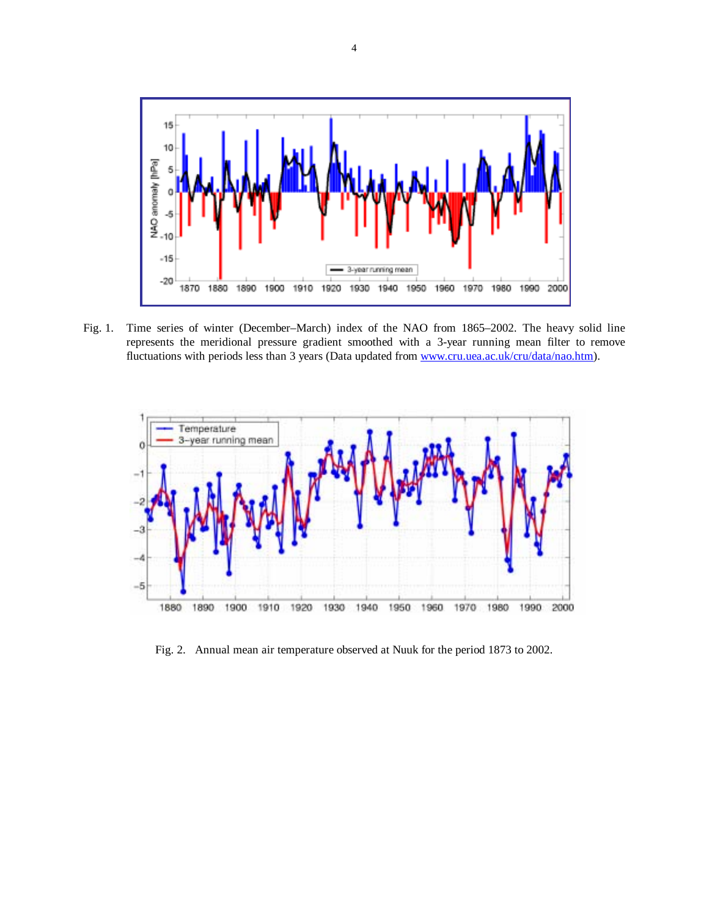

Fig. 1. Time series of winter (December–March) index of the NAO from 1865–2002. The heavy solid line represents the meridional pressure gradient smoothed with a 3-year running mean filter to remove fluctuations with periods less than 3 years (Data updated from www.cru.uea.ac.uk/cru/data/nao.htm).



Fig. 2.Annual mean air temperature observed at Nuuk for the period 1873 to 2002.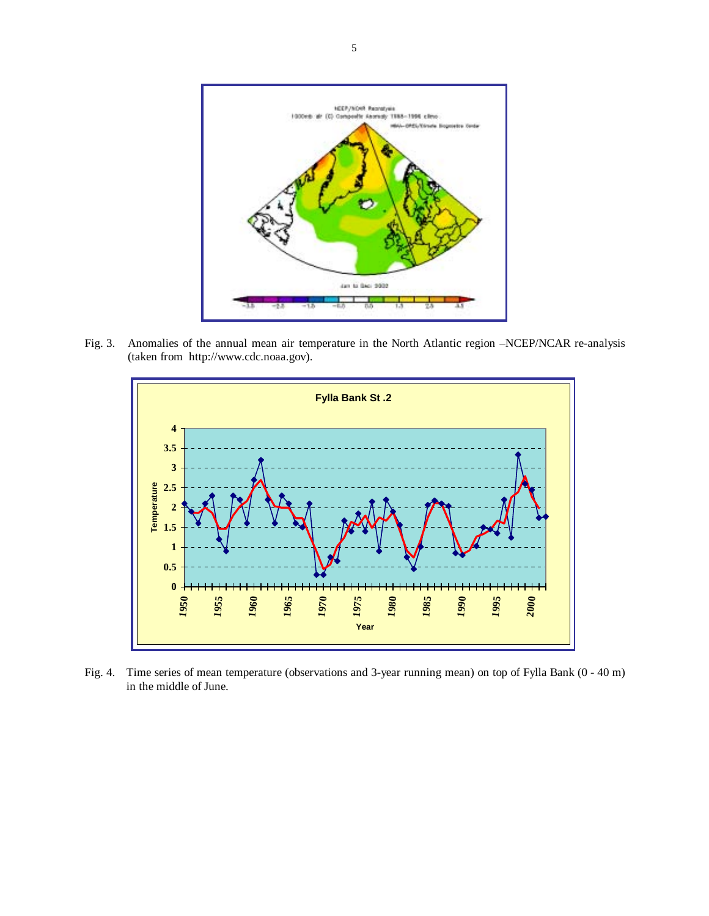

Fig. 3. Anomalies of the annual mean air temperature in the North Atlantic region –NCEP/NCAR re-analysis (taken from http://www.cdc.noaa.gov).



Fig. 4. Time series of mean temperature (observations and 3-year running mean) on top of Fylla Bank (0 - 40 m) in the middle of June.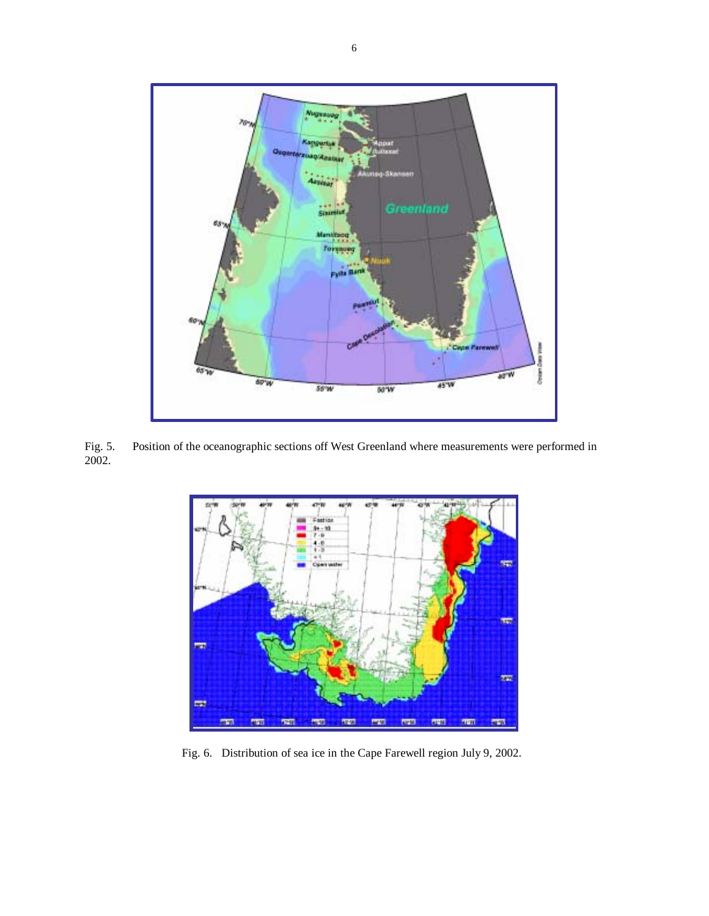

Position of the oceanographic sections off West Greenland where measurements were performed in Fig. 5.<br>2002.



Fig. 6.Distribution of sea ice in the Cape Farewell region July 9, 2002.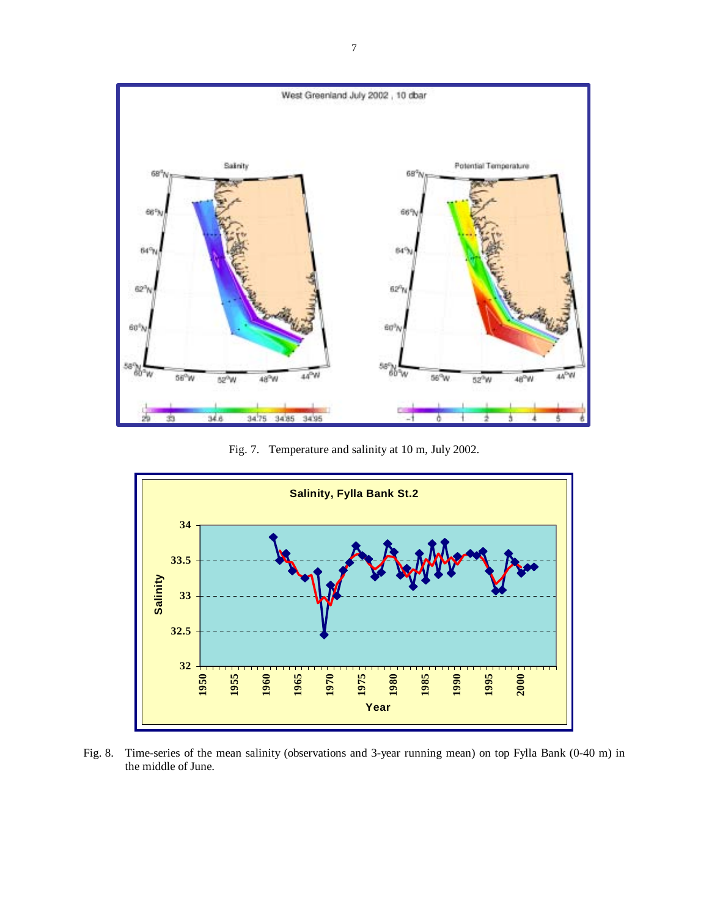

Fig. 7. Temperature and salinity at 10 m, July 2002.



Fig. 8. Time-series of the mean salinity (observations and 3-year running mean) on top Fylla Bank (0-40 m) in the middle of June.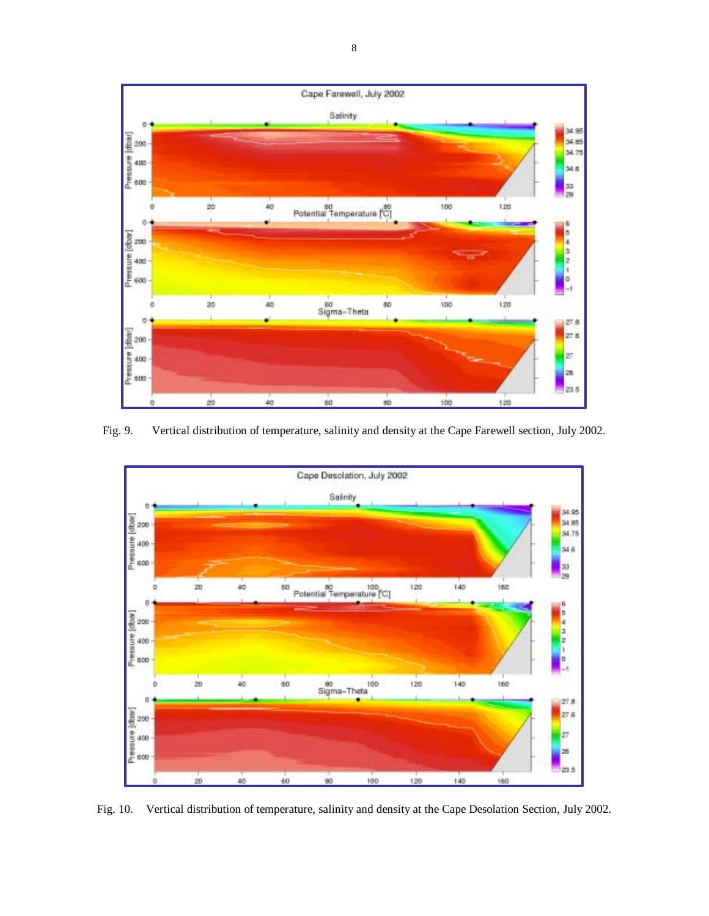

Fig. 9. Vertical distribution of temperature, salinity and density at the Cape Farewell section, July 2002.



Fig. 10. Vertical distribution of temperature, salinity and density at the Cape Desolation Section, July 2002.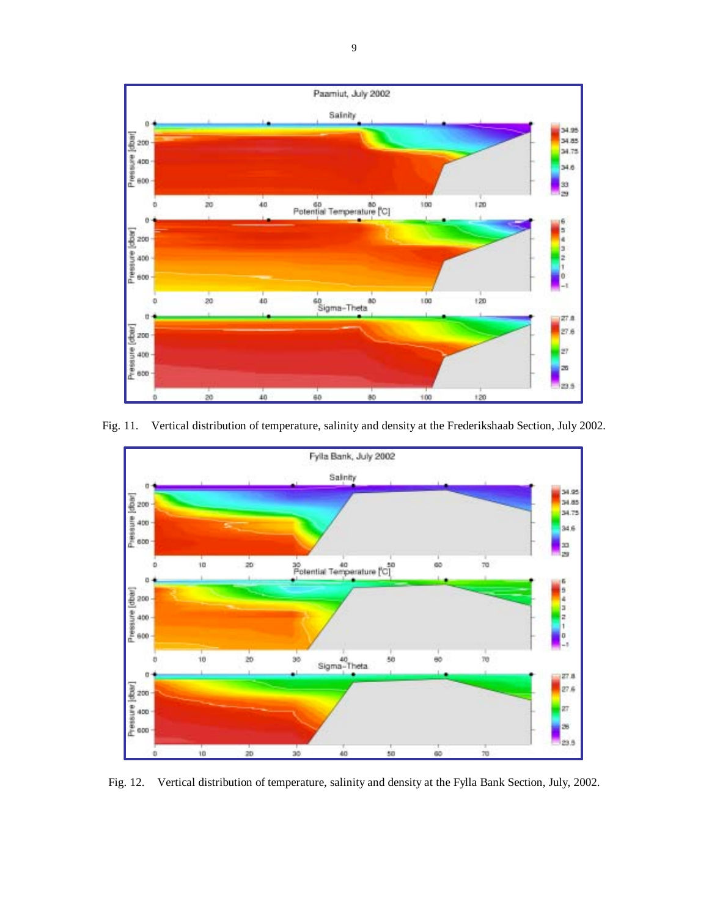

Fig. 11. Vertical distribution of temperature, salinity and density at the Frederikshaab Section, July 2002.



Fig. 12. Vertical distribution of temperature, salinity and density at the Fylla Bank Section, July, 2002.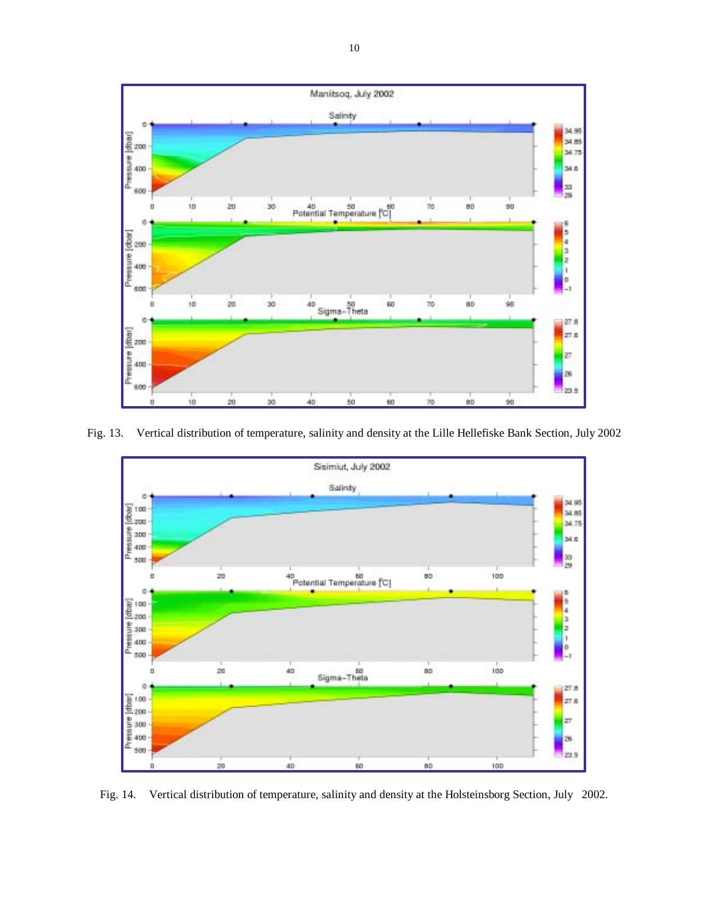

Fig. 13. Vertical distribution of temperature, salinity and density at the Lille Hellefiske Bank Section, July 2002



Fig. 14. Vertical distribution of temperature, salinity and density at the Holsteinsborg Section, July 2002.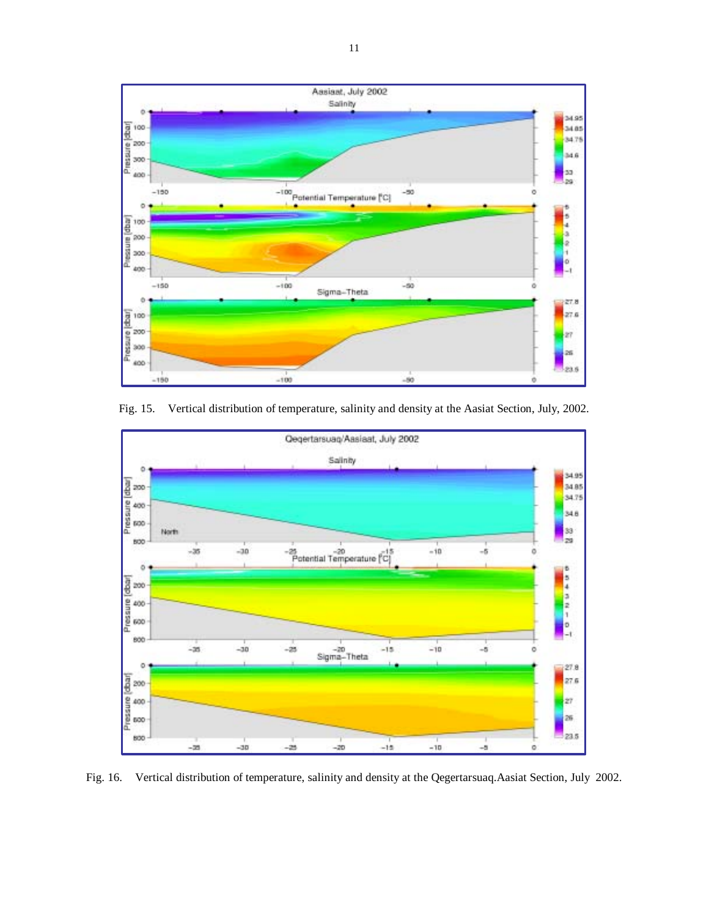

Fig. 15. Vertical distribution of temperature, salinity and density at the Aasiat Section, July, 2002.



Fig. 16. Vertical distribution of temperature, salinity and density at the Qegertarsuaq.Aasiat Section, July 2002.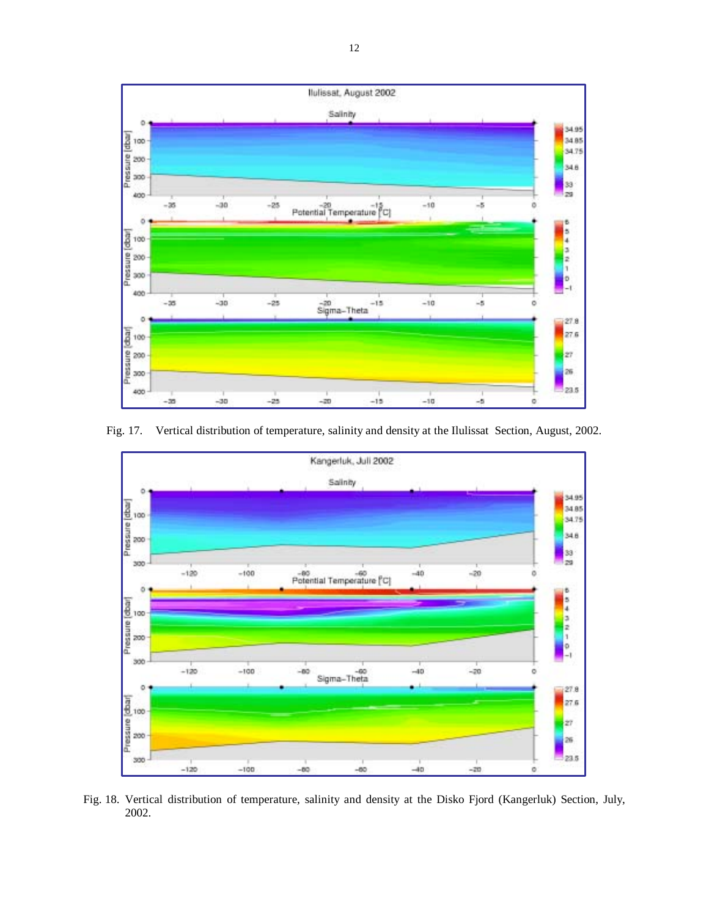

Fig. 17. Vertical distribution of temperature, salinity and density at the Ilulissat Section, August, 2002.



Fig. 18. Vertical distribution of temperature, salinity and density at the Disko Fjord (Kangerluk) Section, July, 2002.